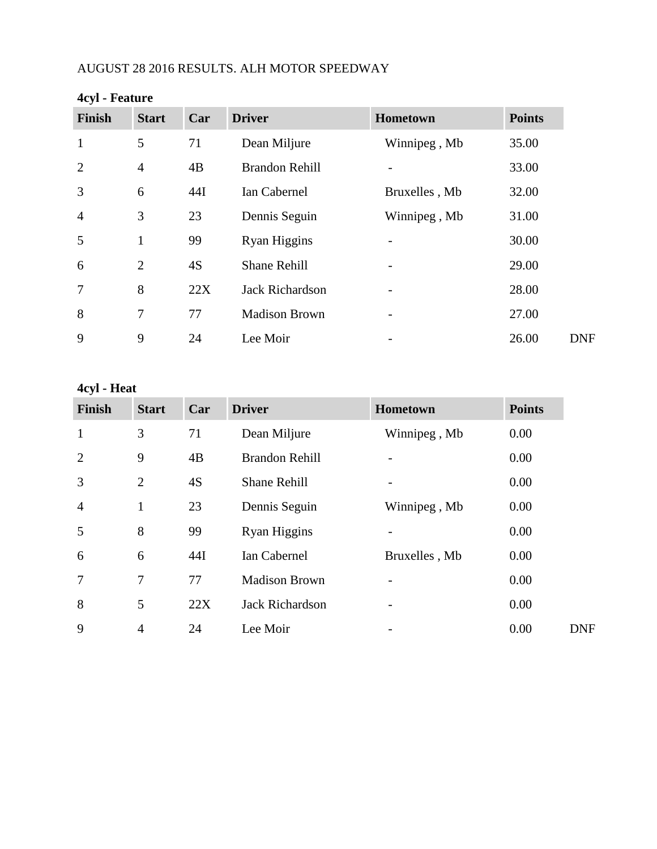## AUGUST 28 2016 RESULTS. ALH MOTOR SPEEDWAY

| ັ<br><b>Finish</b> | <b>Start</b>   | Car | <b>Driver</b>          | Hometown      | <b>Points</b> |
|--------------------|----------------|-----|------------------------|---------------|---------------|
| $\mathbf{1}$       | 5              | 71  | Dean Miljure           | Winnipeg, Mb  | 35.00         |
| $\overline{2}$     | $\overline{4}$ | 4B  | <b>Brandon Rehill</b>  |               | 33.00         |
| 3                  | 6              | 44I | Ian Cabernel           | Bruxelles, Mb | 32.00         |
| $\overline{4}$     | 3              | 23  | Dennis Seguin          | Winnipeg, Mb  | 31.00         |
| 5                  | 1              | 99  | Ryan Higgins           |               | 30.00         |
| 6                  | $\overline{2}$ | 4S  | Shane Rehill           |               | 29.00         |
| $\overline{7}$     | 8              | 22X | <b>Jack Richardson</b> |               | 28.00         |
| 8                  | 7              | 77  | <b>Madison Brown</b>   |               | 27.00         |
| 9                  | 9              | 24  | Lee Moir               |               | 26.00         |

# **4cyl - Feature**

# **4cyl - Heat**

| <b>Finish</b>  | <b>Start</b>   | Car | <b>Driver</b>          | <b>Hometown</b> | <b>Points</b> |
|----------------|----------------|-----|------------------------|-----------------|---------------|
| $\mathbf{1}$   | 3              | 71  | Dean Miljure           | Winnipeg, Mb    | 0.00          |
| $\overline{2}$ | 9              | 4B  | <b>Brandon Rehill</b>  |                 | 0.00          |
| 3              | $\overline{2}$ | 4S  | <b>Shane Rehill</b>    |                 | 0.00          |
| $\overline{4}$ | $\mathbf{1}$   | 23  | Dennis Seguin          | Winnipeg, Mb    | 0.00          |
| 5              | 8              | 99  | Ryan Higgins           |                 | 0.00          |
| 6              | 6              | 44I | Ian Cabernel           | Bruxelles, Mb   | 0.00          |
| 7              | 7              | 77  | <b>Madison Brown</b>   |                 | 0.00          |
| 8              | 5              | 22X | <b>Jack Richardson</b> |                 | 0.00          |
| 9              | $\overline{4}$ | 24  | Lee Moir               |                 | 0.00          |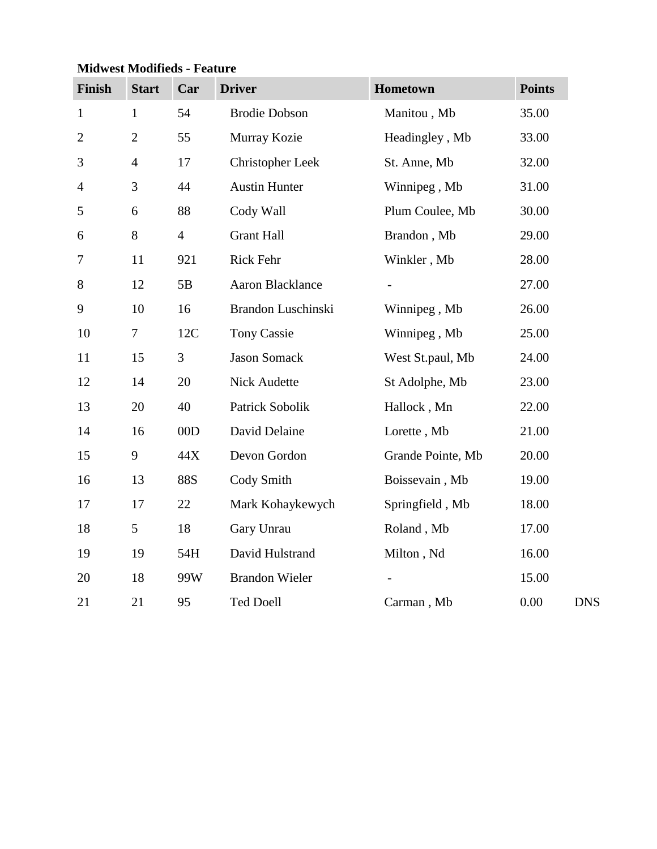| Finish         | <b>Start</b>   | Car            | <b>Driver</b>           | Hometown                 | <b>Points</b> |
|----------------|----------------|----------------|-------------------------|--------------------------|---------------|
| $\mathbf{1}$   | $\mathbf{1}$   | 54             | <b>Brodie Dobson</b>    | Manitou, Mb              | 35.00         |
| $\overline{2}$ | $\overline{2}$ | 55             | Murray Kozie            | Headingley, Mb           | 33.00         |
| 3              | $\overline{4}$ | 17             | <b>Christopher Leek</b> | St. Anne, Mb             | 32.00         |
| $\overline{4}$ | 3              | 44             | <b>Austin Hunter</b>    | Winnipeg, Mb             | 31.00         |
| 5              | 6              | 88             | Cody Wall               | Plum Coulee, Mb          | 30.00         |
| 6              | 8              | $\overline{4}$ | <b>Grant Hall</b>       | Brandon, Mb              | 29.00         |
| $\tau$         | 11             | 921            | Rick Fehr               | Winkler, Mb              | 28.00         |
| 8              | 12             | 5B             | <b>Aaron Blacklance</b> |                          | 27.00         |
| 9              | 10             | 16             | Brandon Luschinski      | Winnipeg, Mb             | 26.00         |
| 10             | 7              | 12C            | <b>Tony Cassie</b>      | Winnipeg, Mb             | 25.00         |
| 11             | 15             | 3              | <b>Jason Somack</b>     | West St.paul, Mb         | 24.00         |
| 12             | 14             | 20             | Nick Audette            | St Adolphe, Mb           | 23.00         |
| 13             | 20             | 40             | Patrick Sobolik         | Hallock, Mn              | 22.00         |
| 14             | 16             | 00D            | David Delaine           | Lorette, Mb              | 21.00         |
| 15             | 9              | 44X            | Devon Gordon            | Grande Pointe, Mb        | 20.00         |
| 16             | 13             | <b>88S</b>     | Cody Smith              | Boissevain, Mb           | 19.00         |
| 17             | 17             | 22             | Mark Kohaykewych        | Springfield, Mb          | 18.00         |
| 18             | 5              | 18             | Gary Unrau              | Roland, Mb               | 17.00         |
| 19             | 19             | 54H            | David Hulstrand         | Milton, Nd               | 16.00         |
| 20             | 18             | 99W            | <b>Brandon Wieler</b>   | $\overline{\phantom{a}}$ | 15.00         |
| 21             | 21             | 95             | <b>Ted Doell</b>        | Carman, Mb               | 0.00          |

## **Midwest Modifieds - Feature**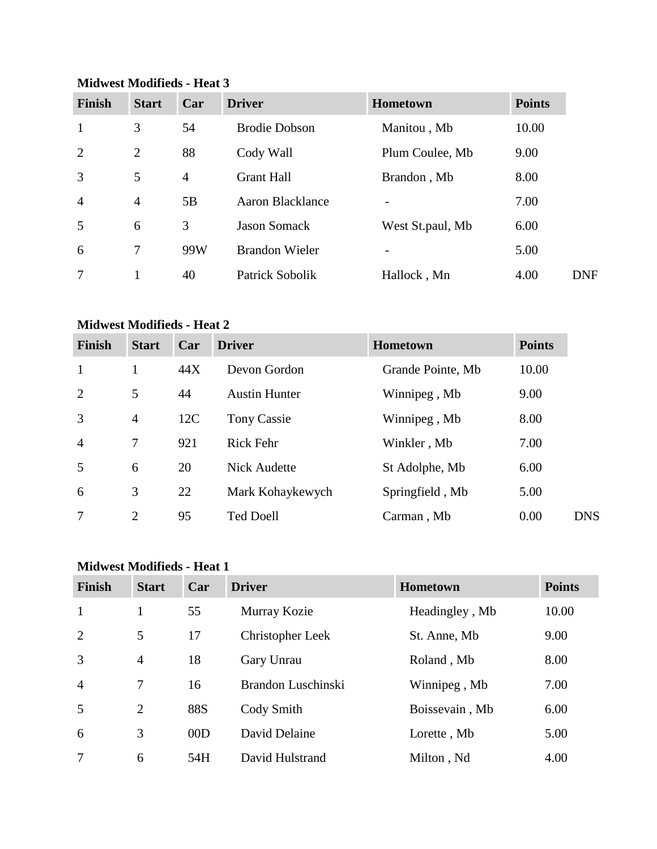| <b>Finish</b>  | <b>Start</b>   | Car            | <b>Driver</b>           | <b>Hometown</b>          | <b>Points</b> |
|----------------|----------------|----------------|-------------------------|--------------------------|---------------|
| $\mathbf{1}$   | 3              | 54             | <b>Brodie Dobson</b>    | Manitou, Mb              | 10.00         |
| 2              | 2              | 88             | Cody Wall               | Plum Coulee, Mb          | 9.00          |
| 3              | 5              | $\overline{4}$ | <b>Grant Hall</b>       | Brandon, Mb              | 8.00          |
| $\overline{4}$ | $\overline{4}$ | 5B             | <b>Aaron Blacklance</b> |                          | 7.00          |
| 5              | 6              | 3              | <b>Jason Somack</b>     | West St.paul, Mb         | 6.00          |
| 6              | $\overline{7}$ | 99W            | <b>Brandon Wieler</b>   | $\overline{\phantom{a}}$ | 5.00          |
| 7              |                | 40             | Patrick Sobolik         | Hallock, Mn              | 4.00          |

#### **Midwest Modifieds - Heat 3**

#### **Midwest Modifieds - Heat 2**

| <b>Finish</b>  | <b>Start</b>   | Car | <b>Driver</b>        | <b>Hometown</b>   | <b>Points</b> |
|----------------|----------------|-----|----------------------|-------------------|---------------|
| $\mathbf{1}$   |                | 44X | Devon Gordon         | Grande Pointe, Mb | 10.00         |
| 2              | 5              | 44  | <b>Austin Hunter</b> | Winnipeg, Mb      | 9.00          |
| 3              | $\overline{4}$ | 12C | Tony Cassie          | Winnipeg, Mb      | 8.00          |
| $\overline{4}$ | 7              | 921 | <b>Rick Fehr</b>     | Winkler, Mb       | 7.00          |
| 5              | 6              | 20  | <b>Nick Audette</b>  | St Adolphe, Mb    | 6.00          |
| 6              | 3              | 22  | Mark Kohaykewych     | Springfield, Mb   | 5.00          |
| 7              | $\overline{2}$ | 95  | <b>Ted Doell</b>     | Carman, Mb        | 0.00          |

## **Midwest Modifieds - Heat 1**

| <b>Finish</b>  | <b>Start</b>   | Car        | <b>Driver</b>      | <b>Hometown</b> | <b>Points</b> |
|----------------|----------------|------------|--------------------|-----------------|---------------|
| $\mathbf{1}$   | 1              | 55         | Murray Kozie       | Headingley, Mb  | 10.00         |
| 2              | 5              | 17         | Christopher Leek   | St. Anne, Mb    | 9.00          |
| 3              | $\overline{4}$ | 18         | Gary Unrau         | Roland, Mb      | 8.00          |
| $\overline{4}$ | 7              | 16         | Brandon Luschinski | Winnipeg, Mb    | 7.00          |
| 5              | $\overline{2}$ | <b>88S</b> | Cody Smith         | Boissevain, Mb  | 6.00          |
| 6              | 3              | 00D        | David Delaine      | Lorette, Mb     | 5.00          |
| 7              | 6              | 54H        | David Hulstrand    | Milton, Nd      | 4.00          |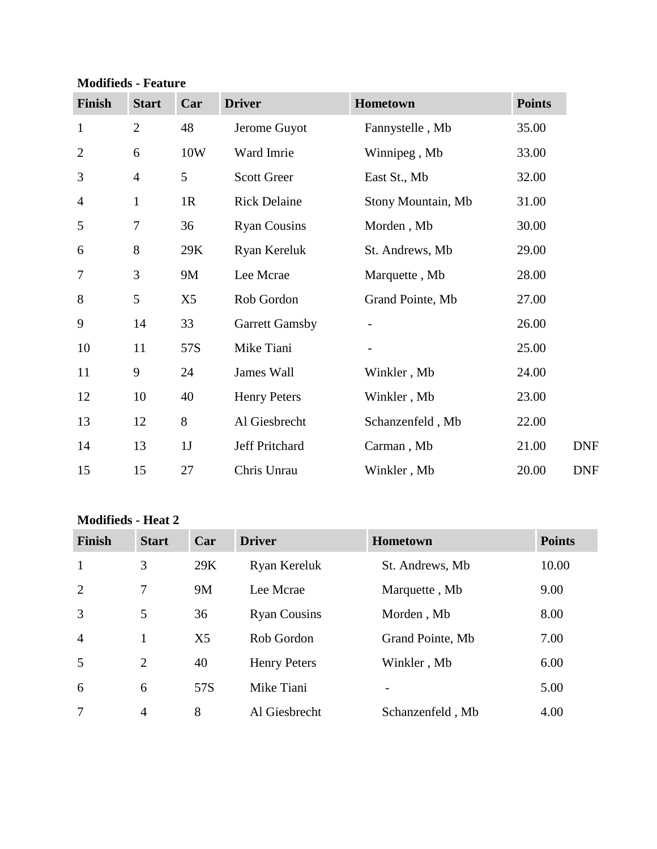| <b>Modifieds - Feature</b> |  |
|----------------------------|--|
|----------------------------|--|

| <b>Finish</b>  | <b>Start</b>   | Car | <b>Driver</b>         | Hometown           | <b>Points</b> |
|----------------|----------------|-----|-----------------------|--------------------|---------------|
| $\mathbf{1}$   | $\overline{2}$ | 48  | Jerome Guyot          | Fannystelle, Mb    | 35.00         |
| $\overline{2}$ | 6              | 10W | Ward Imrie            | Winnipeg, Mb       | 33.00         |
| 3              | $\overline{4}$ | 5   | <b>Scott Greer</b>    | East St., Mb       | 32.00         |
| $\overline{4}$ | $\mathbf{1}$   | 1R  | <b>Rick Delaine</b>   | Stony Mountain, Mb | 31.00         |
| 5              | $\tau$         | 36  | <b>Ryan Cousins</b>   | Morden, Mb         | 30.00         |
| 6              | 8              | 29K | Ryan Kereluk          | St. Andrews, Mb    | 29.00         |
| $\tau$         | 3              | 9M  | Lee Mcrae             | Marquette, Mb      | 28.00         |
| 8              | 5              | X5  | Rob Gordon            | Grand Pointe, Mb   | 27.00         |
| 9              | 14             | 33  | <b>Garrett Gamsby</b> |                    | 26.00         |
| 10             | 11             | 57S | Mike Tiani            |                    | 25.00         |
| 11             | 9              | 24  | James Wall            | Winkler, Mb        | 24.00         |
| 12             | 10             | 40  | <b>Henry Peters</b>   | Winkler, Mb        | 23.00         |
| 13             | 12             | 8   | Al Giesbrecht         | Schanzenfeld, Mb   | 22.00         |
| 14             | 13             | 1J  | Jeff Pritchard        | Carman, Mb         | 21.00         |
| 15             | 15             | 27  | Chris Unrau           | Winkler, Mb        | 20.00         |

### **Modifieds - Heat 2**

| <b>Finish</b>  | <b>Start</b>   | Car            | <b>Driver</b>       | <b>Hometown</b>  | <b>Points</b> |
|----------------|----------------|----------------|---------------------|------------------|---------------|
| 1              | 3              | 29K            | Ryan Kereluk        | St. Andrews, Mb  | 10.00         |
| 2              | 7              | 9M             | Lee Mcrae           | Marquette, Mb    | 9.00          |
| 3              | 5              | 36             | <b>Ryan Cousins</b> | Morden, Mb       | 8.00          |
| $\overline{4}$ | 1              | X <sub>5</sub> | Rob Gordon          | Grand Pointe, Mb | 7.00          |
| 5              | 2              | 40             | Henry Peters        | Winkler, Mb      | 6.00          |
| 6              | 6              | 57S            | Mike Tiani          |                  | 5.00          |
| 7              | $\overline{4}$ | 8              | Al Giesbrecht       | Schanzenfeld, Mb | 4.00          |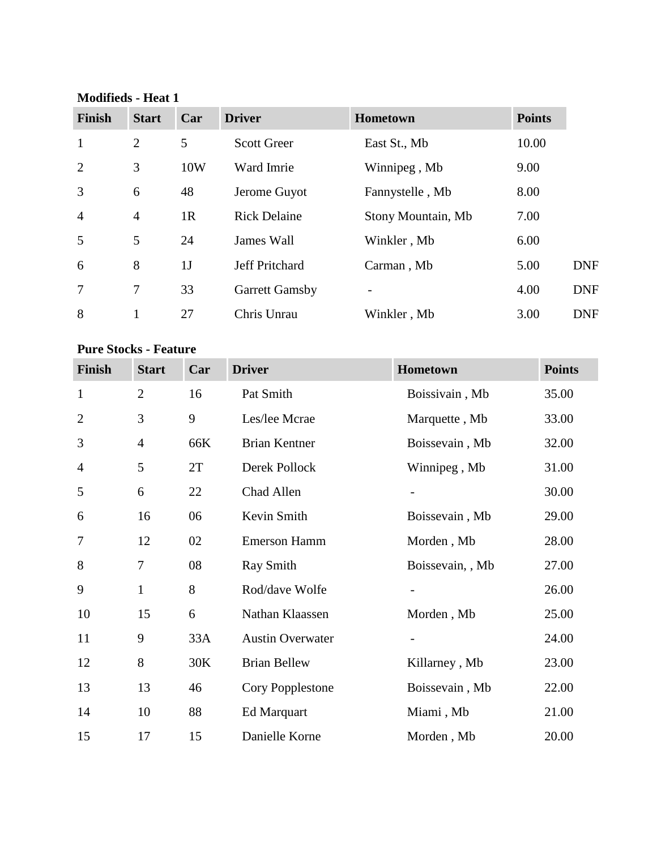### **Modifieds - Heat 1**

| <b>Finish</b>  | <b>Start</b>   | Car            | <b>Driver</b>         | Hometown           | <b>Points</b> |            |
|----------------|----------------|----------------|-----------------------|--------------------|---------------|------------|
| $\mathbf{1}$   | $\overline{2}$ | 5              | <b>Scott Greer</b>    | East St., Mb       | 10.00         |            |
| $\overline{2}$ | 3              | 10W            | Ward Imrie            | Winnipeg, Mb       | 9.00          |            |
| 3              | 6              | 48             | Jerome Guyot          | Fannystelle, Mb    | 8.00          |            |
| $\overline{4}$ | $\overline{4}$ | 1 <sub>R</sub> | <b>Rick Delaine</b>   | Stony Mountain, Mb | 7.00          |            |
| 5              | 5              | 24             | James Wall            | Winkler, Mb        | 6.00          |            |
| 6              | 8              | 1 <sub>J</sub> | <b>Jeff Pritchard</b> | Carman, Mb         | 5.00          | <b>DNF</b> |
| $\overline{7}$ | $\tau$         | 33             | <b>Garrett Gamsby</b> |                    | 4.00          | <b>DNF</b> |
| 8              |                | 27             | Chris Unrau           | Winkler, Mb        | 3.00          | <b>DNF</b> |

#### **Pure Stocks - Feature**

| Finish         | <b>Start</b>   | Car | <b>Driver</b>           | Hometown         | <b>Points</b> |
|----------------|----------------|-----|-------------------------|------------------|---------------|
| $\mathbf{1}$   | $\overline{2}$ | 16  | Pat Smith               | Boissivain, Mb   | 35.00         |
| $\overline{2}$ | 3              | 9   | Les/lee Mcrae           | Marquette, Mb    | 33.00         |
| 3              | $\overline{4}$ | 66K | <b>Brian Kentner</b>    | Boissevain, Mb   | 32.00         |
| $\overline{4}$ | 5              | 2T  | Derek Pollock           | Winnipeg, Mb     | 31.00         |
| 5              | 6              | 22  | Chad Allen              |                  | 30.00         |
| 6              | 16             | 06  | Kevin Smith             | Boissevain, Mb   | 29.00         |
| 7              | 12             | 02  | <b>Emerson Hamm</b>     | Morden, Mb       | 28.00         |
| 8              | $\tau$         | 08  | <b>Ray Smith</b>        | Boissevain, , Mb | 27.00         |
| 9              | $\mathbf{1}$   | 8   | Rod/dave Wolfe          |                  | 26.00         |
| 10             | 15             | 6   | Nathan Klaassen         | Morden, Mb       | 25.00         |
| 11             | 9              | 33A | <b>Austin Overwater</b> |                  | 24.00         |
| 12             | 8              | 30K | <b>Brian Bellew</b>     | Killarney, Mb    | 23.00         |
| 13             | 13             | 46  | Cory Popplestone        | Boissevain, Mb   | 22.00         |
| 14             | 10             | 88  | Ed Marquart             | Miami, Mb        | 21.00         |
| 15             | 17             | 15  | Danielle Korne          | Morden, Mb       | 20.00         |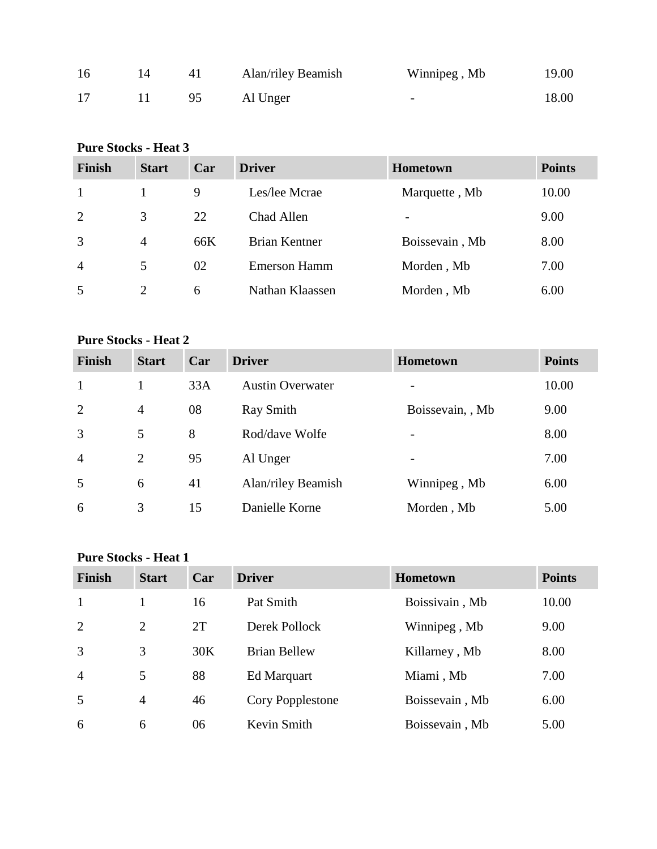| 16 | 41 | Alan/riley Beamish | Winnipeg, Mb | 19.00 |
|----|----|--------------------|--------------|-------|
| 17 | 95 | Al Unger           | -            | 18.00 |

# **Pure Stocks - Heat 3**

| <b>Finish</b>  | <b>Start</b>   | Car | <b>Driver</b>       | <b>Hometown</b> | <b>Points</b> |
|----------------|----------------|-----|---------------------|-----------------|---------------|
| 1              |                | 9   | Les/lee Mcrae       | Marquette, Mb   | 10.00         |
| 2              | 3              | 22  | Chad Allen          |                 | 9.00          |
| 3              | $\overline{4}$ | 66K | Brian Kentner       | Boissevain, Mb  | 8.00          |
| $\overline{4}$ | 5              | 02  | <b>Emerson Hamm</b> | Morden, Mb      | 7.00          |
| 5              | 2              | 6   | Nathan Klaassen     | Morden, Mb      | 6.00          |

## **Pure Stocks - Heat 2**

| <b>Finish</b>  | <b>Start</b>   | Car | <b>Driver</b>           | Hometown                 | <b>Points</b> |
|----------------|----------------|-----|-------------------------|--------------------------|---------------|
|                |                | 33A | <b>Austin Overwater</b> | $\overline{\phantom{0}}$ | 10.00         |
| $\overline{2}$ | $\overline{4}$ | 08  | Ray Smith               | Boissevain, , Mb         | 9.00          |
| 3              | 5              | 8   | Rod/dave Wolfe          | -                        | 8.00          |
| $\overline{4}$ | $\overline{2}$ | 95  | Al Unger                | -                        | 7.00          |
| 5              | 6              | 41  | Alan/riley Beamish      | Winnipeg, Mb             | 6.00          |
| 6              | 3              | 15  | Danielle Korne          | Morden, Mb               | 5.00          |

### **Pure Stocks - Heat 1**

| <b>Finish</b>  | <b>Start</b>   | Car | <b>Driver</b>       | <b>Hometown</b> | <b>Points</b> |
|----------------|----------------|-----|---------------------|-----------------|---------------|
| -1             |                | 16  | Pat Smith           | Boissivain, Mb  | 10.00         |
| 2              | 2              | 2T  | Derek Pollock       | Winnipeg, Mb    | 9.00          |
| 3              | 3              | 30K | <b>Brian Bellew</b> | Killarney, Mb   | 8.00          |
| $\overline{4}$ | 5              | 88  | Ed Marquart         | Miami, Mb       | 7.00          |
| 5              | $\overline{4}$ | 46  | Cory Popplestone    | Boissevain, Mb  | 6.00          |
| 6              | 6              | 06  | Kevin Smith         | Boissevain, Mb  | 5.00          |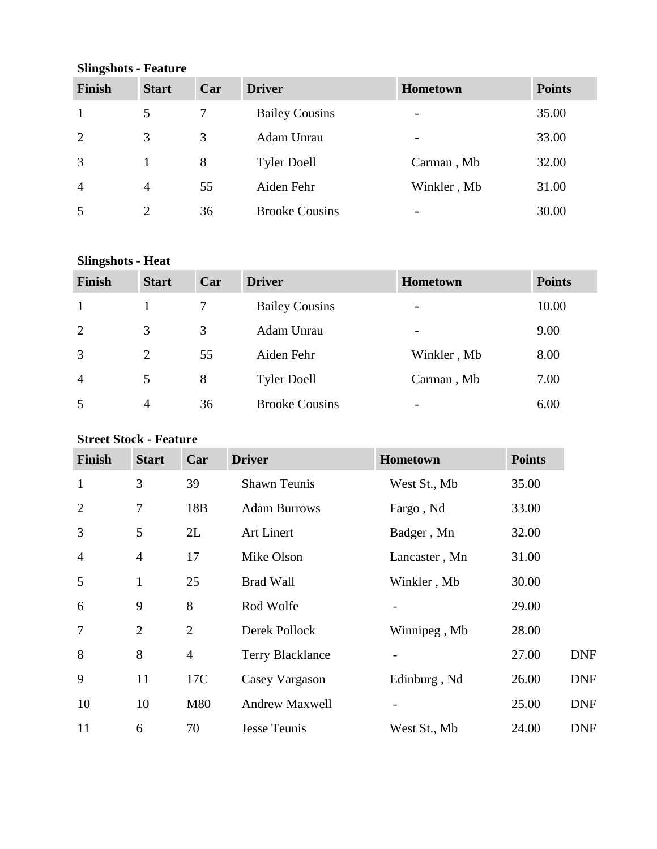**Slingshots - Feature**

| <b>Finish</b>  | <b>Start</b>   | Car | <b>Driver</b>         | Hometown                 | <b>Points</b> |
|----------------|----------------|-----|-----------------------|--------------------------|---------------|
|                | 5              |     | <b>Bailey Cousins</b> | -                        | 35.00         |
| 2              | 3              | 3   | Adam Unrau            | $\overline{\phantom{0}}$ | 33.00         |
| 3              |                | 8   | <b>Tyler Doell</b>    | Carman, Mb               | 32.00         |
| $\overline{4}$ | $\overline{4}$ | 55  | Aiden Fehr            | Winkler, Mb              | 31.00         |
| 5              | $\overline{2}$ | 36  | <b>Brooke Cousins</b> | -                        | 30.00         |

## **Slingshots - Heat**

| <b>Finish</b>  | <b>Start</b>   | Car | <b>Driver</b>         | <b>Hometown</b>          | <b>Points</b> |
|----------------|----------------|-----|-----------------------|--------------------------|---------------|
|                |                |     | <b>Bailey Cousins</b> | $\overline{\phantom{0}}$ | 10.00         |
| 2              | 3              | 3   | Adam Unrau            | $\overline{\phantom{a}}$ | 9.00          |
| 3              | $\overline{2}$ | 55  | Aiden Fehr            | Winkler, Mb              | 8.00          |
| $\overline{4}$ | 5              | 8   | <b>Tyler Doell</b>    | Carman, Mb               | 7.00          |
| 5              | 4              | 36  | <b>Brooke Cousins</b> | $\overline{\phantom{0}}$ | 6.00          |

## **Street Stock - Feature**

| <b>Finish</b>  | <b>Start</b>   | Car            | <b>Driver</b>           | <b>Hometown</b> | <b>Points</b> |            |
|----------------|----------------|----------------|-------------------------|-----------------|---------------|------------|
| $\mathbf{1}$   | 3              | 39             | <b>Shawn Teunis</b>     | West St., Mb    | 35.00         |            |
| $\overline{2}$ | 7              | 18B            | <b>Adam Burrows</b>     | Fargo, Nd       | 33.00         |            |
| 3              | 5              | 2L             | <b>Art Linert</b>       | Badger, Mn      | 32.00         |            |
| $\overline{4}$ | $\overline{4}$ | 17             | Mike Olson              | Lancaster, Mn   | 31.00         |            |
| 5              | 1              | 25             | <b>Brad Wall</b>        | Winkler, Mb     | 30.00         |            |
| 6              | 9              | 8              | Rod Wolfe               |                 | 29.00         |            |
| $\overline{7}$ | $\overline{2}$ | $\overline{2}$ | Derek Pollock           | Winnipeg, Mb    | 28.00         |            |
| 8              | 8              | $\overline{4}$ | <b>Terry Blacklance</b> |                 | 27.00         | <b>DNF</b> |
| 9              | 11             | 17C            | Casey Vargason          | Edinburg, Nd    | 26.00         | <b>DNF</b> |
| 10             | 10             | M80            | <b>Andrew Maxwell</b>   |                 | 25.00         | <b>DNF</b> |
| 11             | 6              | 70             | <b>Jesse Teunis</b>     | West St., Mb    | 24.00         | <b>DNF</b> |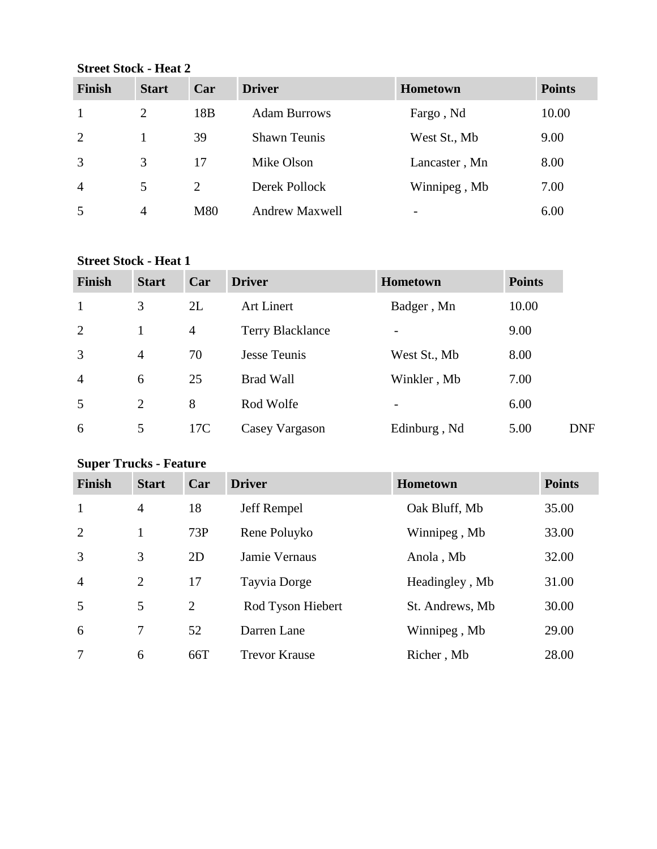**Street Stock - Heat 2**

| <b>Finish</b>  | <b>Start</b>   | Car             | <b>Driver</b>         | <b>Hometown</b>          | <b>Points</b> |
|----------------|----------------|-----------------|-----------------------|--------------------------|---------------|
|                | 2              | 18 <sub>B</sub> | <b>Adam Burrows</b>   | Fargo, Nd                | 10.00         |
| 2              |                | 39              | <b>Shawn Teunis</b>   | West St., Mb             | 9.00          |
| 3              | 3              | 17              | Mike Olson            | Lancaster, Mn            | 8.00          |
| $\overline{4}$ | 5              | 2               | Derek Pollock         | Winnipeg, Mb             | 7.00          |
| 5              | $\overline{4}$ | M80             | <b>Andrew Maxwell</b> | $\overline{\phantom{a}}$ | 6.00          |

### **Street Stock - Heat 1**

| <b>Finish</b>  | <b>Start</b>   | Car            | <b>Driver</b>           | <b>Hometown</b>          | <b>Points</b> |
|----------------|----------------|----------------|-------------------------|--------------------------|---------------|
| $\mathbf{1}$   | 3              | 2L             | <b>Art Linert</b>       | Badger, Mn               | 10.00         |
| 2              |                | $\overline{4}$ | <b>Terry Blacklance</b> | $\overline{\phantom{m}}$ | 9.00          |
| 3              | $\overline{4}$ | 70             | <b>Jesse Teunis</b>     | West St., Mb             | 8.00          |
| $\overline{4}$ | 6              | 25             | <b>Brad Wall</b>        | Winkler, Mb              | 7.00          |
| 5              | 2              | 8              | Rod Wolfe               | $\overline{\phantom{0}}$ | 6.00          |
| 6              | 5              | 17C            | Casey Vargason          | Edinburg, Nd             | 5.00          |

# **Super Trucks - Feature**

| <b>Finish</b>  | <b>Start</b>   | Car | <b>Driver</b>        | <b>Hometown</b> | <b>Points</b> |
|----------------|----------------|-----|----------------------|-----------------|---------------|
| $\mathbf{1}$   | $\overline{4}$ | 18  | Jeff Rempel          | Oak Bluff, Mb   | 35.00         |
| 2              | 1              | 73P | Rene Poluyko         | Winnipeg, Mb    | 33.00         |
| 3              | 3              | 2D  | Jamie Vernaus        | Anola, Mb       | 32.00         |
| $\overline{4}$ | 2              | 17  | Tayvia Dorge         | Headingley, Mb  | 31.00         |
| 5              | 5              | 2   | Rod Tyson Hiebert    | St. Andrews, Mb | 30.00         |
| 6              | 7              | 52  | Darren Lane          | Winnipeg, Mb    | 29.00         |
| 7              | 6              | 66T | <b>Trevor Krause</b> | Richer, Mb      | 28.00         |